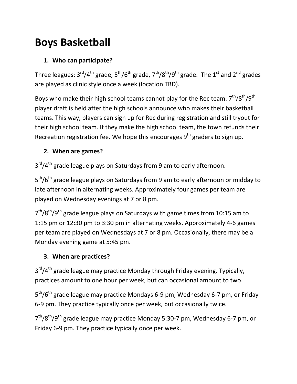# **Boys Basketball**

## **1. Who can participate?**

Three leagues:  $3<sup>rd</sup>/4<sup>th</sup>$  grade,  $5<sup>th</sup>/6<sup>th</sup>$  grade,  $7<sup>th</sup>/8<sup>th</sup>/9<sup>th</sup>$  grade. The  $1<sup>st</sup>$  and  $2<sup>nd</sup>$  grades are played as clinic style once a week (location TBD).

Boys who make their high school teams cannot play for the Rec team.  $7<sup>th</sup>/8<sup>th</sup>/9<sup>th</sup>$ player draft is held after the high schools announce who makes their basketball teams. This way, players can sign up for Rec during registration and still tryout for their high school team. If they make the high school team, the town refunds their Recreation registration fee. We hope this encourages  $9<sup>th</sup>$  graders to sign up.

### **2. When are games?**

3<sup>rd</sup>/4<sup>th</sup> grade league plays on Saturdays from 9 am to early afternoon.

5<sup>th</sup>/6<sup>th</sup> grade league plays on Saturdays from 9 am to early afternoon or midday to late afternoon in alternating weeks. Approximately four games per team are played on Wednesday evenings at 7 or 8 pm.

 $7<sup>th</sup>/8<sup>th</sup>/9<sup>th</sup>$  grade league plays on Saturdays with game times from 10:15 am to 1:15 pm or 12:30 pm to 3:30 pm in alternating weeks. Approximately 4-6 games per team are played on Wednesdays at 7 or 8 pm. Occasionally, there may be a Monday evening game at 5:45 pm.

### **3. When are practices?**

3<sup>rd</sup>/4<sup>th</sup> grade league may practice Monday through Friday evening. Typically, practices amount to one hour per week, but can occasional amount to two.

5<sup>th</sup>/6<sup>th</sup> grade league may practice Mondays 6-9 pm, Wednesday 6-7 pm, or Friday 6-9 pm. They practice typically once per week, but occasionally twice.

7<sup>th</sup>/8<sup>th</sup>/9<sup>th</sup> grade league may practice Monday 5:30-7 pm, Wednesday 6-7 pm, or Friday 6-9 pm. They practice typically once per week.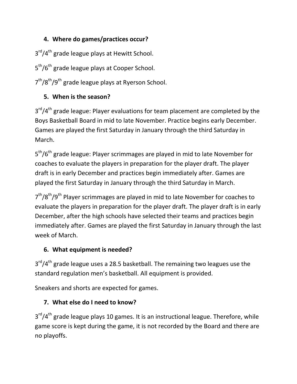# **4. Where do games/practices occur?**

3<sup>rd</sup>/4<sup>th</sup> grade league plays at Hewitt School.

5<sup>th</sup>/6<sup>th</sup> grade league plays at Cooper School.

7<sup>th</sup>/8<sup>th</sup>/9<sup>th</sup> grade league plays at Ryerson School.

# **5. When is the season?**

3<sup>rd</sup>/4<sup>th</sup> grade league: Player evaluations for team placement are completed by the Boys Basketball Board in mid to late November. Practice begins early December. Games are played the first Saturday in January through the third Saturday in March.

5<sup>th</sup>/6<sup>th</sup> grade league: Player scrimmages are played in mid to late November for coaches to evaluate the players in preparation for the player draft. The player draft is in early December and practices begin immediately after. Games are played the first Saturday in January through the third Saturday in March.

7<sup>th</sup>/8<sup>th</sup>/9<sup>th</sup> Player scrimmages are played in mid to late November for coaches to evaluate the players in preparation for the player draft. The player draft is in early December, after the high schools have selected their teams and practices begin immediately after. Games are played the first Saturday in January through the last week of March.

### **6. What equipment is needed?**

 $3<sup>rd</sup>/4<sup>th</sup>$  grade league uses a 28.5 basketball. The remaining two leagues use the standard regulation men's basketball. All equipment is provided.

Sneakers and shorts are expected for games.

# **7. What else do I need to know?**

3<sup>rd</sup>/4<sup>th</sup> grade league plays 10 games. It is an instructional league. Therefore, while game score is kept during the game, it is not recorded by the Board and there are no playoffs.